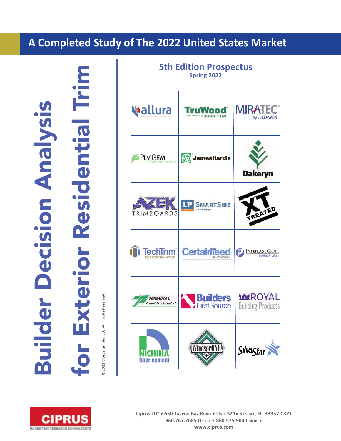# **A Completed Study of The 2022 United States Market**

Builder Decision Analysis **Decision Analysi Builder** 

for Exterior Residential Trim Trim Residentia terior

92022 Ciprus Limited LLC-All Rights Reserved ©2022 Ciprus Limited LLC All Rights Reserved





**Ciprus LLC • 650 TARPON BAY ROAD • UNIT 321• SANIBEL, FL 339570321 860.767.7685 OFFICE • 860.575.9040 MOBILE www.ciprus.com**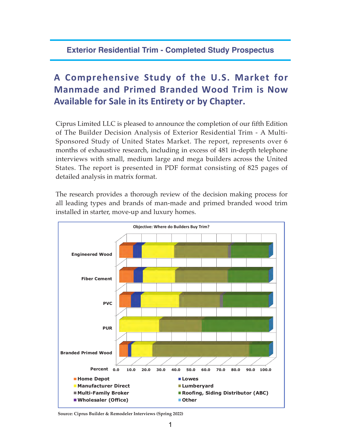## **Exterior Residential Trim - Completed Study Prospectus**

# **A Comprehensive Study of the U.S. Market for Manmade and Primed Branded Wood Trim is Now Available for Sale in its Entirety or by Chapter.**

Ciprus Limited LLC is pleased to announce the completion of our fifth Edition of The Builder Decision Analysis of Exterior Residential Trim - A Multi-Sponsored Study of United States Market. The report, represents over 6 months of exhaustive research, including in excess of 481 in-depth telephone interviews with small, medium large and mega builders across the United States. The report is presented in PDF format consisting of 825 pages of detailed analysis in matrix format.

The research provides a thorough review of the decision making process for all leading types and brands of man-made and primed branded wood trim installed in starter, move-up and luxury homes.



**Source: Ciprus Builder & Remodeler Interviews (Spring 2022)**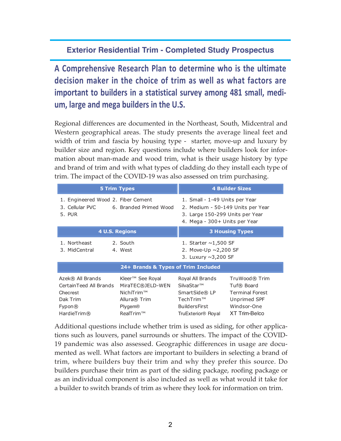## **Exterior Residential Trim - Completed Study Prospectus**

**A Comprehensive Research Plan to determine who is the ultimate decision maker in the choice of trim as well as what factors are important to builders in a statistical survey among 481 small, medium, large and mega builders in the U.S.**

Regional differences are documented in the Northeast, South, Midcentral and Western geographical areas. The study presents the average lineal feet and width of trim and fascia by housing type - starter, move-up and luxury by builder size and region. Key questions include where builders look for information about man-made and wood trim, what is their usage history by type and brand of trim and with what types of cladding do they install each type of trim. The impact of the COVID-19 was also assessed on trim purchasing.

|                                                                               | <b>5 Trim Types</b>                                                                  |                                                                                                                                         | <b>4 Builder Sizes</b>                                                               |
|-------------------------------------------------------------------------------|--------------------------------------------------------------------------------------|-----------------------------------------------------------------------------------------------------------------------------------------|--------------------------------------------------------------------------------------|
| 1. Engineered Wood 2. Fiber Cement<br>3. Cellular PVC<br>5. PUR               | 6. Branded Primed Wood                                                               | 1. Small - 1-49 Units per Year<br>2. Medium - 50-149 Units per Year<br>3. Large 150-299 Units per Year<br>4. Mega - 300+ Units per Year |                                                                                      |
|                                                                               | <b>4 U.S. Regions</b>                                                                |                                                                                                                                         | <b>3 Housing Types</b>                                                               |
| 1. Northeast<br>3. MidCentral                                                 | 2. South<br>4. West                                                                  | 1. Starter $\sim$ 1,500 SF<br>2. Move-Up $\sim$ 2,200 SF<br>3. Luxury $\sim$ 3,200 SF                                                   |                                                                                      |
|                                                                               | 24+ Brands & Types of Trim Included                                                  |                                                                                                                                         |                                                                                      |
| Azek® All Brands<br>Certain Teed All Brands<br>Checrest<br>Dak Trim<br>Fypon@ | Kleer™ See Royal<br>MiraTEC®JELD-WEN<br>NichiTrim™<br>Allura® Trim<br><b>Plygem®</b> | Royal All Brands<br>SilvaStar™<br>SmartSide® LP<br>TechTrim <sup>TM</sup><br>BuildersFirst                                              | TruWood® Trim<br>Tuf® Board<br><b>Terminal Forest</b><br>Unprimed SPF<br>Windsor-One |
| HardieTrim®                                                                   | RealTrim™                                                                            | TruExterior® Royal                                                                                                                      | XT Trim-Belco                                                                        |

Additional questions include whether trim is used as siding, for other applications such as louvers, panel surrounds or shutters. The impact of the COVID-19 pandemic was also assessed. Geographic differences in usage are documented as well. What factors are important to builders in selecting a brand of trim, where builders buy their trim and why they prefer this source. Do builders purchase their trim as part of the siding package, roofing package or as an individual component is also included as well as what would it take for a builder to switch brands of trim as where they look for information on trim.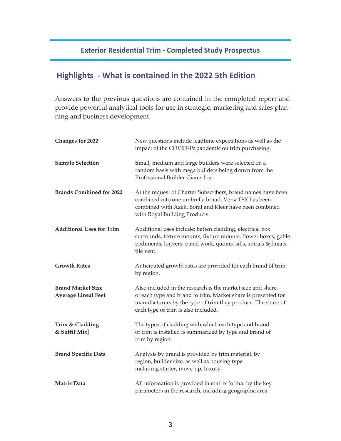## **Exterior Residential Trim Completed Study Prospectus**

## **Highlights What is contained in the 2022 5th Edition**

Answers to the previous questions are contained in the completed report and provide powerful analytical tools for use in strategic, marketing and sales planning and business development.

| <b>Changes for 2022</b>                                | New questions include leadtime expectations as well as the<br>impact of the COVID-19 pandemic on trim purchasing.                                                                                                                  |
|--------------------------------------------------------|------------------------------------------------------------------------------------------------------------------------------------------------------------------------------------------------------------------------------------|
| <b>Sample Selection</b>                                | Small, medium and large builders were selected on a<br>random basis with mega builders being drawn from the<br>Professional Builder Giants List.                                                                                   |
| <b>Brands Combined for 2022</b>                        | At the request of Charter Subscribers, brand names have been<br>combined into one umbrella brand. VersaTEX has been<br>combined with Azek. Boral and Kleer have been combined<br>with Royal Building Products.                     |
| <b>Additional Uses for Trim</b>                        | Additional uses include: batten cladding, electrical box<br>surrounds, fixture mounts, fixture mounts, flower boxes, gable<br>pediments, louvers, panel work, quoins, sills, spirals & finials,<br>tile vent.                      |
| <b>Growth Rates</b>                                    | Anticipated growth rates are provided for each brand of trim<br>by region.                                                                                                                                                         |
| <b>Brand Market Size</b><br><b>Average Lineal Feet</b> | Also included in the research is the market size and share<br>of each type and brand fo trim. Market share is presented for<br>manufacturers by the type of trim they produce. The share of<br>each type of trim is also included. |
| Trim & Cladding<br>& Soffit Mix]                       | The types of cladding with which each type and brand<br>of trim is installed is summarized by type and brand of<br>trim by region.                                                                                                 |
| <b>Brand Specific Data</b>                             | Analysis by brand is provided by trim material, by<br>region, builder size, as well as housing type<br>including starter, move-up, luxury.                                                                                         |
| <b>Matrix Data</b>                                     | All information is provided in matrix format by the key<br>parameters in the research, including geographic area,                                                                                                                  |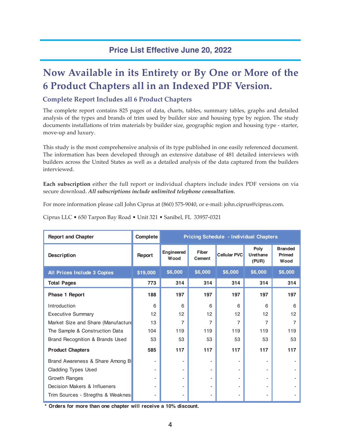## **Price List Effective June 20, 2022**

# **Now Available in its Entirety or By One or More of the 6 Product Chapters all in an Indexed PDF Version.**

### **Complete Report Includes all 6 Product Chapters**

The complete report contains 825 pages of data, charts, tables, summary tables, graphs and detailed analysis of the types and brands of trim used by builder size and housing type by region. The study documents installations of trim materials by builder size, geographic region and housing type - starter, move-up and luxury.

This study is the most comprehensive analysis of its type published in one easily referenced document. The information has been developed through an extensive database of 481 detailed interviews with builders across the United States as well as a detailed analysis of the data captured from the builders interviewed.

**Each subscription** either the full report or individual chapters include index PDF versions on via secure download. *All subscriptions include unlimited telephone consultation.*

For more information please call John Ciprus at (860) 575-9040, or e-mail: john.ciprus@ciprus.com.

| <b>Report and Chapter</b>          | Complete                 | <b>Pricing Schedule - Individual Chapters</b> |                 |              |                           |                                         |
|------------------------------------|--------------------------|-----------------------------------------------|-----------------|--------------|---------------------------|-----------------------------------------|
| Description                        | Report                   | Engineered<br>Wood                            | Fiber<br>Cement | Cellular PVC | Poly<br>Urethane<br>(PUR) | <b>Branded</b><br><b>Primed</b><br>Wood |
| All Prices Include 3 Copies        | \$19,000                 | \$6,000                                       | \$6,000         | \$6,000      | \$6,000                   | \$6,000                                 |
| <b>Total Pages</b>                 | 773                      | 314                                           | 314             | 314          | 314                       | 314                                     |
| <b>Phase 1 Report</b>              | 188                      | 197                                           | 197             | 197          | 197                       | 197                                     |
| Introduction                       | 6                        | 6                                             | 6               | 6            | 6                         | 6                                       |
| <b>Executive Summary</b>           | 12                       | 12                                            | 12              | 12           | 12                        | 12                                      |
| Market Size and Share (Manufacture | 13                       | 7                                             | 7               | 7            | 7                         | 7                                       |
| The Sample & Construction Data     | 104                      | 119                                           | 119             | 119          | 119                       | 119                                     |
| Brand Recognition & Brands Used    | 53                       | 53                                            | 53              | 53           | 53                        | 53                                      |
| <b>Product Chapters</b>            | 585                      | 117                                           | 117             | 117          | 117                       | 117                                     |
| Brand Awareness & Share Among B    |                          | $\overline{a}$                                |                 |              |                           |                                         |
| <b>Cladding Types Used</b>         | $\overline{\phantom{a}}$ | $\overline{\phantom{0}}$                      |                 |              | -                         |                                         |
| Growth Ranges                      |                          | $\overline{a}$                                |                 |              | -                         |                                         |
| Decision Makers & Influeners       |                          |                                               |                 |              |                           |                                         |
| Trim Sources - Stregths & Weaknes  | ٠                        | $\overline{\phantom{0}}$                      |                 |              |                           |                                         |

Ciprus LLC • 650 Tarpon Bay Road • Unit 321 • Sanibel, FL 33957-0321

**\* Orders for more than one chapter will receive a 10% discount.**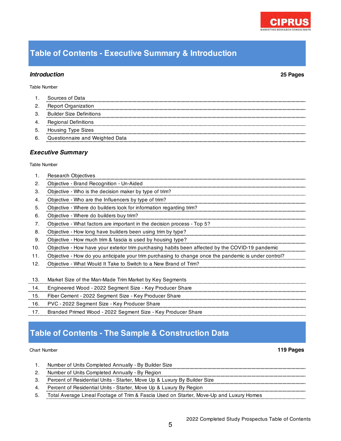# **Table of Contents - Executive Summary & Introduction**

## *Introduction* **25 Pages**

1. Research Objectives

### Table Number

| Table Number |                                 |
|--------------|---------------------------------|
|              | <b>Executive Summary</b>        |
|              |                                 |
| 6.           | Questionnaire and Weighted Data |
| 5.           | <b>Housing Type Sizes</b>       |
| -4.          | <b>Regional Definitions</b>     |
| 3.           | <b>Builder Size Definitions</b> |
| 2.           | <b>Report Organization</b>      |
|              | Sources of Data                 |

| 2.  | Objective - Brand Recognition - Un-Aided                                                             |
|-----|------------------------------------------------------------------------------------------------------|
| З.  | Objective - Who is the decision maker by type of trim?                                               |
| 4.  | Objective - Who are the Influencers by type of trim?                                                 |
| 5.  | Objective - Where do builders look for information regarding trim?                                   |
| 6.  | Objective - Where do builders buy trim?                                                              |
| 7.  | Objective - What factors are important in the decision process - Top 5?                              |
| 8.  | Objective - How long have builders been using trim by type?                                          |
| 9.  | Objective - How much trim & fascia is used by housing type?                                          |
| 10. | Objective - How have your exterior trim purchasing habits been affected by the COVID-19 pandemic     |
| 11. | Objective - How do you anticipate your trim purchasing to change once the pandemic is under control? |
| 12. | Objective - What Would It Take to Switch to a New Brand of Trim?                                     |
|     |                                                                                                      |
| 13. | Market Size of the Man-Made Trim Market by Key Segments                                              |
| 14. | Engineered Wood - 2022 Segment Size - Key Producer Share                                             |
| 15. | Fiber Cement - 2022 Segment Size - Key Producer Share                                                |
| 16. | PVC - 2022 Segment Size - Key Producer Share                                                         |
| 17. | Branded Primed Wood - 2022 Segment Size - Key Producer Share                                         |
|     |                                                                                                      |

## **Table of Contents - The Sample & Construction Data**

### Chart Number **119 Pages**

à.

à.

- 1. Number of Units Completed Annually By Builder Size
- 2. Number of Units Completed Annually By Region
- ..................... 3. Percent of Residential Units - Starter, Move Up & Luxury By Builder Size
- 4. Percent of Residential Units Starter, Move Up & Luxury By Region
- 5. Total Average Lineal Footage of Trim & Fascia Used on Starter, Move-Up and Luxury Homes

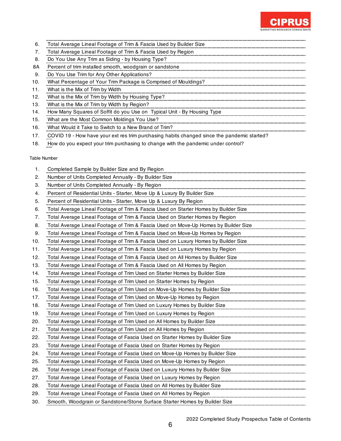

| 6.  | Total Average Lineal Footage of Trim & Fascia Used by Builder Size      |
|-----|-------------------------------------------------------------------------|
|     | Total Average Lineal Footage of Trim & Fascia Used by Region            |
| 8.  | Do You Use Any Trim as Siding - by Housing Type?                        |
| 8A  | Percent of trim installed smooth, woodgrain or sandstone                |
| 9.  | Do You Use Trim for Any Other Applications?                             |
| 10. | What Percentage of Your Trim Package is Comprised of Mouldings?         |
| 11. | What is the Mix of Trim by Width                                        |
| 12. | What is the Mix of Trim by Width by Housing Type?                       |
| 13. | What is the Mix of Trim by Width by Region?                             |
| 14. | How Many Squares of Soffit do you Use on Typical Unit - By Housing Type |
| 15. | What are the Most Common Moldings You Use?                              |
| 16. | What Would it Take to Switch to a New Brand of Trim?                    |

17. COVID 19 - How have your ext res trim purchasing habits changed since the pandemic started?

18. How do you expect your trim purchasing to change with the pandemic under control?

| 1.  | Completed Sample by Builder Size and By Region                                      |
|-----|-------------------------------------------------------------------------------------|
| 2.  | Number of Units Completed Annually - By Builder Size                                |
| 3.  | Number of Units Completed Annually - By Region                                      |
| 4.  | Percent of Residential Units - Starter, Move Up & Luxury By Builder Size            |
| 5.  | Percent of Residential Units - Starter, Move Up & Luxury By Region                  |
| 6.  | Total Average Lineal Footage of Trim & Fascia Used on Starter Homes by Builder Size |
| 7.  | Total Average Lineal Footage of Trim & Fascia Used on Starter Homes by Region       |
| 8.  | Total Average Lineal Footage of Trim & Fascia Used on Move-Up Homes by Builder Size |
| 9.  | Total Average Lineal Footage of Trim & Fascia Used on Move-Up Homes by Region       |
| 10. | Total Average Lineal Footage of Trim & Fascia Used on Luxury Homes by Builder Size  |
| 11. | Total Average Lineal Footage of Trim & Fascia Used on Luxury Homes by Region        |
| 12. | Total Average Lineal Footage of Trim & Fascia Used on All Homes by Builder Size     |
| 13. | Total Average Lineal Footage of Trim & Fascia Used on All Homes by Region           |
| 14. | Total Average Lineal Footage of Trim Used on Starter Homes by Builder Size          |
| 15. | Total Average Lineal Footage of Trim Used on Starter Homes by Region                |
| 16. | Total Average Lineal Footage of Trim Used on Move-Up Homes by Builder Size          |
| 17. | Total Average Lineal Footage of Trim Used on Move-Up Homes by Region                |
| 18. | Total Average Lineal Footage of Trim Used on Luxury Homes by Builder Size           |
| 19. | Total Average Lineal Footage of Trim Used on Luxury Homes by Region                 |
| 20. | Total Average Lineal Footage of Trim Used on All Homes by Builder Size              |
| 21. | Total Average Lineal Footage of Trim Used on All Homes by Region                    |
| 22. | Total Average Lineal Footage of Fascia Used on Starter Homes by Builder Size        |
| 23. | Total Average Lineal Footage of Fascia Used on Starter Homes by Region              |
| 24. | Total Average Lineal Footage of Fascia Used on Move-Up Homes by Builder Size        |
| 25. | Total Average Lineal Footage of Fascia Used on Move-Up Homes by Region              |
| 26. | Total Average Lineal Footage of Fascia Used on Luxury Homes by Builder Size         |
| 27. | Total Average Lineal Footage of Fascia Used on Luxury Homes by Region               |
| 28. | Total Average Lineal Footage of Fascia Used on All Homes by Builder Size            |
| 29. | Total Average Lineal Footage of Fascia Used on All Homes by Region                  |
| 30. | Smooth, Woodgrain or Sandstone/Stone Surface Starter Homes by Builder Size          |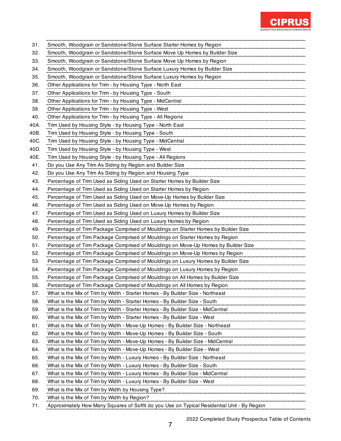

| 31.  | Smooth, Woodgrain or Sandstone/Stone Surface Starter Homes by Region                                                                       |
|------|--------------------------------------------------------------------------------------------------------------------------------------------|
| 32.  | Smooth, Woodgrain or Sandstone/Stone Surface Move Up Homes by Builder Size                                                                 |
| 33.  | Smooth, Woodgrain or Sandstone/Stone Surface Move Up Homes by Region                                                                       |
| 34.  | Smooth, Woodgrain or Sandstone/Stone Surface Luxury Homes by Builder Size                                                                  |
| 35.  | Smooth, Woodgrain or Sandstone/Stone Surface Luxury Homes by Region                                                                        |
| 36.  | Other Applications for Trim - by Housing Type - North East                                                                                 |
| 37.  | Other Applications for Trim - by Housing Type - South                                                                                      |
| 38.  | Other Applications for Trim - by Housing Type - MidCentral                                                                                 |
| 39.  | Other Applications for Trim - by Housing Type - West                                                                                       |
| 40.  | Other Applications for Trim - by Housing Type - All Regions                                                                                |
| 40A. | Trim Used by Housing Style - by Housing Type - North East                                                                                  |
| 40B. | Trim Used by Housing Style - by Housing Type - South                                                                                       |
| 40C. | Trim Used by Housing Style - by Housing Type - MidCentral                                                                                  |
| 40D. | Trim Used by Housing Style - by Housing Type - West                                                                                        |
| 40E. | Trim Used by Housing Style - by Housing Type - All Regions                                                                                 |
| 41.  | Do you Use Any Trim As Siding by Region and Builder Size                                                                                   |
| 42.  | Do you Use Any Trim As Siding by Region and Housing Type                                                                                   |
| 43.  | Percentage of Trim Used as Siding Used on Starter Homes by Builder Size                                                                    |
| 44.  | Percentage of Trim Used as Siding Used on Starter Homes by Region                                                                          |
| 45.  | Percentage of Trim Used as Siding Used on Move-Up Homes by Builder Size                                                                    |
| 46.  | Percentage of Trim Used as Siding Used on Move-Up Homes by Region                                                                          |
| 47.  | Percentage of Trim Used as Siding Used on Luxury Homes by Builder Size                                                                     |
| 48.  | Percentage of Trim Used as Siding Used on Luxury Homes by Region                                                                           |
| 49.  | Percentage of Trim Package Comprised of Mouldings on Starter Homes by Builder Size                                                         |
| 50.  | Percentage of Trim Package Comprised of Mouldings on Starter Homes by Region                                                               |
| 51.  | Percentage of Trim Package Comprised of Mouldings on Move-Up Homes by Builder Size                                                         |
| 52.  | Percentage of Trim Package Comprised of Mouldings on Move-Up Homes by Region                                                               |
| 53.  | Percentage of Trim Package Comprised of Mouldings on Luxury Homes by Builder Size                                                          |
| 54.  | Percentage of Trim Package Comprised of Mouldings on Luxury Homes by Region                                                                |
| 55.  | Percentage of Trim Package Comprised of Mouldings on All Homes by Builder Size                                                             |
| 56.  | Percentage of Trim Package Comprised of Mouldings on All Homes by Region                                                                   |
| 57.  | What is the Mix of Trim by Width - Starter Homes - By Builder Size - Northeast                                                             |
| 58.  | What is the Mix of Trim by Width - Starter Homes - By Builder Size - South                                                                 |
| 59.  |                                                                                                                                            |
| 60.  | What is the Mix of Trim by Width - Starter Homes - By Builder Size - West                                                                  |
| 61.  |                                                                                                                                            |
| 62.  | What is the Mix of Trim by Width - Move-Up Homes - By Builder Size - South                                                                 |
| 63.  | What is the Mix of Trim by Width - Move-Up Homes - By Builder Size - MidCentral                                                            |
| 64.  | What is the Mix of Trim by Width - Move-Up Homes - By Builder Size - West                                                                  |
| 65.  |                                                                                                                                            |
| 66.  | What is the Mix of Trim by Width - Luxury Homes - By Builder Size - South                                                                  |
| 67.  |                                                                                                                                            |
| 68.  | What is the Mix of Trim by Width - Luxury Homes - By Builder Size - West                                                                   |
| 69.  | What is the Mix of Trim by Width by Housing Type?                                                                                          |
| 70.  | What is the Mix of Trim by Width by Region?<br>Approximately How Many Squares of Soffit do you Use on Typical Residential Unit - By Region |
| 71.  |                                                                                                                                            |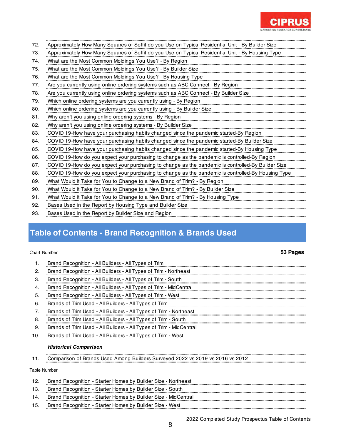

| 72. | Approximately How Many Squares of Soffit do you Use on Typical Residential Unit - By Builder Size  |
|-----|----------------------------------------------------------------------------------------------------|
| 73. | Approximately How Many Squares of Soffit do you Use on Typical Residential Unit - By Housing Type  |
| 74. | What are the Most Common Moldings You Use? - By Region                                             |
| 75. | What are the Most Common Moldings You Use? - By Builder Size                                       |
| 76. | What are the Most Common Moldings You Use? - By Housing Type                                       |
| 77. | Are you currently using online ordering systems such as ABC Connect - By Region                    |
| 78. | Are you currently using online ordering systems such as ABC Connect - By Builder Size              |
| 79. | Which online ordering systems are you currently using - By Region                                  |
| 80. | Which online ordering systems are you currently using - By Builder Size                            |
| 81. | Why aren't you using online ordering systems - By Region                                           |
| 82. | Why aren't you using online ordering systems - By Builder Size                                     |
| 83. | COVID 19-How have your purchasing habits changed since the pandemic started-By Region              |
| 84. | COVID 19-How have your purchasing habits changed since the pandemic started-By Builder Size        |
| 85. | COVID 19-How have your purchasing habits changed since the pandemic started-By Housing Type        |
| 86. | COVID 19-How do you expect your purchasing to change as the pandemic is controlled-By Region       |
| 87. | COVID 19-How do you expect your purchasing to change as the pandemic is controlled-By Builder Size |
| 88. | COVID 19-How do you expect your purchasing to change as the pandemic is controlled-By Housing Type |
| 89. | What Would it Take for You to Change to a New Brand of Trim? - By Region                           |
| 90. | What Would it Take for You to Change to a New Brand of Trim? - By Builder Size                     |
| 91. | What Would it Take for You to Change to a New Brand of Trim? - By Housing Type                     |
| 92. | Bases Used in the Report by Housing Type and Builder Size                                          |
| 93. | Bases Used in the Report by Builder Size and Region                                                |
|     |                                                                                                    |

# **Table of Contents - Brand Recognition & Brands Used**

### Chart Number **53 Pages**

| $\mathbf{1}$ .      | Brand Recognition - All Builders - All Types of Trim                                                                                                            |
|---------------------|-----------------------------------------------------------------------------------------------------------------------------------------------------------------|
| $\mathbf{2}$        | Brand Recognition - All Builders - All Types of Trim - Northeast                                                                                                |
| З.                  | Brand Recognition - All Builders - All Types of Trim - South                                                                                                    |
| $\overline{4}$ .    | Brand Recognition - All Builders - All Types of Trim - MidCentral                                                                                               |
| 5.                  | Brand Recognition - All Builders - All Types of Trim - West                                                                                                     |
| 6.                  |                                                                                                                                                                 |
| 7.                  | <u>Information of</u> Trim Used - All Builders - All Types of Trim - Northeast Letter Communication of Trim Used - All Builders - All Types of Trim - Northeast |
| 8.                  | Brands of Trim Used - All Builders - All Types of Trim - South                                                                                                  |
| 9.                  | m<br>Brands of Trim Used - All Builders - All Types of Trim - MidCentral                                                                                        |
| 10.                 | Brands of Trim Used - All Builders - All Types of Trim - West                                                                                                   |
|                     | <b>Historical Comparison</b>                                                                                                                                    |
| 11.                 | Comparison of Brands Used Among Builders Surveyed 2022 vs 2019 vs 2016 vs 2012                                                                                  |
| <b>Table Number</b> |                                                                                                                                                                 |
| 12.                 | Brand Recognition - Starter Homes by Builder Size - Northeast                                                                                                   |
| 13.                 | Brand Recognition - Starter Homes by Builder Size - South                                                                                                       |
| 14.                 | Brand Recognition - Starter Homes by Builder Size - MidCentral                                                                                                  |
|                     |                                                                                                                                                                 |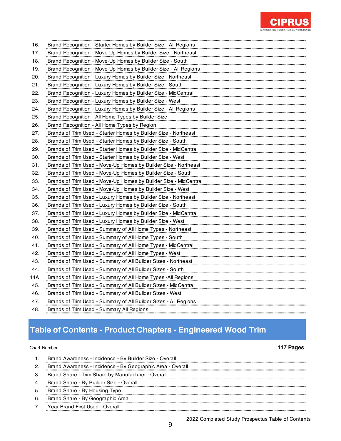

| 16. | Brand Recognition - Starter Homes by Builder Size - All Regions  |
|-----|------------------------------------------------------------------|
| 17. | Brand Recognition - Move-Up Homes by Builder Size - Northeast    |
| 18. | Brand Recognition - Move-Up Homes by Builder Size - South        |
| 19. | Brand Recognition - Move-Up Homes by Builder Size - All Regions  |
| 20. | Brand Recognition - Luxury Homes by Builder Size - Northeast     |
| 21. | Brand Recognition - Luxury Homes by Builder Size - South         |
| 22. | Brand Recognition - Luxury Homes by Builder Size - MidCentral    |
| 23. | Brand Recognition - Luxury Homes by Builder Size - West          |
| 24. | Brand Recognition - Luxury Homes by Builder Size - All Regions   |
| 25. | Brand Recognition - All Home Types by Builder Size               |
| 26. | Brand Recognition - All Home Types by Region                     |
| 27. | Brands of Trim Used - Starter Homes by Builder Size - Northeast  |
| 28. | Brands of Trim Used - Starter Homes by Builder Size - South      |
| 29. | Brands of Trim Used - Starter Homes by Builder Size - MidCentral |
| 30. | Brands of Trim Used - Starter Homes by Builder Size - West       |
| 31. | Brands of Trim Used - Move-Up Homes by Builder Size - Northeast  |
| 32. | Brands of Trim Used - Move-Up Homes by Builder Size - South      |
| 33. | Brands of Trim Used - Move-Up Homes by Builder Size - MidCentral |
| 34. | Brands of Trim Used - Move-Up Homes by Builder Size - West       |
| 35. | Brands of Trim Used - Luxury Homes by Builder Size - Northeast   |
| 36. | Brands of Trim Used - Luxury Homes by Builder Size - South       |
| 37. | Brands of Trim Used - Luxury Homes by Builder Size - MidCentral  |
| 38. | Brands of Trim Used - Luxury Homes by Builder Size - West        |
| 39. | Brands of Trim Used - Summary of All Home Types - Northeast      |
| 40. | Brands of Trim Used - Summary of All Home Types - South          |
| 41. | Brands of Trim Used - Summary of All Home Types - MidCentral     |
| 42. | Brands of Trim Used - Summary of All Home Types - West           |
| 43. | Brands of Trim Used - Summary of All Builder Sizes - Northeast   |
| 44. | Brands of Trim Used - Summary of All Builder Sizes - South       |
| 44A | Brands of Trim Used - Summary of All Home Types -All Regions     |
| 45. | Brands of Trim Used - Summary of All Builder Sizes - MidCentral  |
| 46. | Brands of Trim Used - Summary of All Builder Sizes - West        |
| 47. | Brands of Trim Used - Summary of All Builder Sizes - All Regions |
| 48. | Brands of Trim Used - Summary All Regions                        |

## **Table of Contents - Product Chapters - Engineered Wood Trim**

### Chart Number **117 Pages**

|    | Brand Awareness - Incidence - By Builder Size - Overall    |
|----|------------------------------------------------------------|
|    | Brand Awareness - Incidence - By Geographic Area - Overall |
|    | Brand Share - Trim Share by Manufacturer - Overall         |
|    | Brand Share - By Builder Size - Overall                    |
| 5. | Brand Share - By Housing Type                              |
| 6. | Brand Share - By Geographic Area                           |
|    | Year Brand First Used - Overall                            |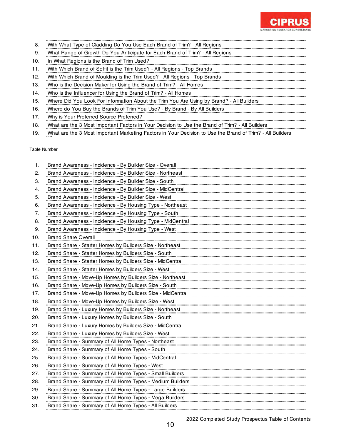

- 8. With What Type of Cladding Do You Use Each Brand of Trim? All Regions
- 9. What Range of Growth Do You Anticipate for Each Brand of Trim? All Regions
- 10. In What Regions is the Brand of Trim Used?
- 11. With Which Brand of Soffit is the Trim Used? - All Regions - Top Brands
- 12. With Which Brand of Moulding is the Trim Used? All Regions Top Brands
- 13. Who is the Decision Maker for Using the Brand of Trim? All Homes
- 14. Who is the Influencer for Using the Brand of Trim? All Homes
- 15. Where Did You Look For Information About the Trim You Are Using by Brand? All Builders
- 16. Where do You Buy the Brands of Trim You Use? By Brand By All Builders
- 17. Why is Your Preferred Source Preferred?
- 18. What are the 3 Most Important Factors in Your Decision to Use the Brand of Trim? All Builders
- 19. What are the 3 Most Important Marketing Factors in Your Decision to Use the Brand of Trim? All Builders

| 1.  | Brand Awareness - Incidence - By Builder Size - Overall    |
|-----|------------------------------------------------------------|
| 2.  | Brand Awareness - Incidence - By Builder Size - Northeast  |
| З.  | Brand Awareness - Incidence - By Builder Size - South      |
| 4.  | Brand Awareness - Incidence - By Builder Size - MidCentral |
| 5.  | Brand Awareness - Incidence - By Builder Size - West       |
| 6.  | Brand Awareness - Incidence - By Housing Type - Northeast  |
| 7.  | Brand Awareness - Incidence - By Housing Type - South      |
| 8.  | Brand Awareness - Incidence - By Housing Type - MidCentral |
| 9.  | Brand Awareness - Incidence - By Housing Type - West       |
| 10. | <b>Brand Share Overall</b>                                 |
| 11. | Brand Share - Starter Homes by Builders Size - Northeast   |
| 12. | Brand Share - Starter Homes by Builders Size - South       |
| 13. | Brand Share - Starter Homes by Builders Size - MidCentral  |
| 14. | Brand Share - Starter Homes by Builders Size - West        |
| 15. | Brand Share - Move-Up Homes by Builders Size - Northeast   |
| 16. | Brand Share - Move-Up Homes by Builders Size - South       |
| 17. | Brand Share - Move-Up Homes by Builders Size - MidCentral  |
| 18. | Brand Share - Move-Up Homes by Builders Size - West        |
| 19. | Brand Share - Luxury Homes by Builders Size - Northeast    |
| 20. | Brand Share - Luxury Homes by Builders Size - South        |
| 21. | Brand Share - Luxury Homes by Builders Size - MidCentral   |
| 22. | Brand Share - Luxury Homes by Builders Size - West         |
| 23. | Brand Share - Summary of All Home Types - Northeast        |
| 24. | Brand Share - Summary of All Home Types - South            |
| 25. | Brand Share - Summary of All Home Types - MidCentral       |
| 26. | Brand Share - Summary of All Home Types - West             |
| 27. | Brand Share - Summary of All Home Types - Small Builders   |
| 28. | Brand Share - Summary of All Home Types - Medium Builders  |
| 29. | Brand Share - Summary of All Home Types - Large Builders   |
| 30. | Brand Share - Summary of All Home Types - Mega Builders    |
| 31. | Brand Share - Summary of All Home Types - All Builders     |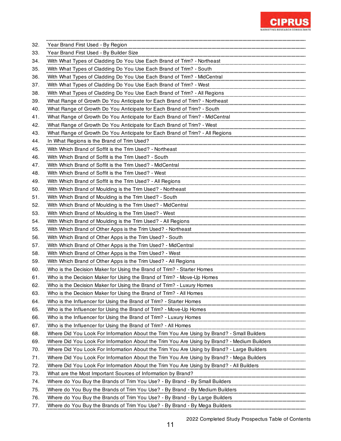

| 32. | Year Brand First Used - By Region                                                                                                                    |
|-----|------------------------------------------------------------------------------------------------------------------------------------------------------|
| 33. | Year Brand First Used - By Builder Size                                                                                                              |
| 34. | With What Types of Cladding Do You Use Each Brand of Trim? - Northeast                                                                               |
| 35. | With What Types of Cladding Do You Use Each Brand of Trim? - South                                                                                   |
| 36. | With What Types of Cladding Do You Use Each Brand of Trim? - MidCentral                                                                              |
| 37. | With What Types of Cladding Do You Use Each Brand of Trim? - West                                                                                    |
| 38. | With What Types of Cladding Do You Use Each Brand of Trim? - All Regions                                                                             |
| 39. | What Range of Growth Do You Anticipate for Each Brand of Trim? - Northeast                                                                           |
| 40. | What Range of Growth Do You Anticipate for Each Brand of Trim? - South                                                                               |
| 41. | What Range of Growth Do You Anticipate for Each Brand of Trim? - MidCentral                                                                          |
| 42. | What Range of Growth Do You Anticipate for Each Brand of Trim? - West                                                                                |
| 43. | What Range of Growth Do You Anticipate for Each Brand of Trim? - All Regions                                                                         |
| 44. | In What Regions is the Brand of Trim Used?                                                                                                           |
| 45. | With Which Brand of Soffit is the Trim Used? - Northeast                                                                                             |
| 46. | With Which Brand of Soffit is the Trim Used? - South                                                                                                 |
| 47. | With Which Brand of Soffit is the Trim Used? - MidCentral                                                                                            |
| 48. | With Which Brand of Soffit is the Trim Used? - West                                                                                                  |
| 49. | With Which Brand of Soffit is the Trim Used? - All Regions                                                                                           |
| 50. | With Which Brand of Moulding is the Trim Used? - Northeast                                                                                           |
| 51. | With Which Brand of Moulding is the Trim Used? - South                                                                                               |
| 52. | With Which Brand of Moulding is the Trim Used? - MidCentral                                                                                          |
| 53. | With Which Brand of Moulding is the Trim Used? - West                                                                                                |
| 54. | With Which Brand of Moulding is the Trim Used? - All Regions                                                                                         |
| 55. | With Which Brand of Other Apps is the Trim Used? - Northeast                                                                                         |
| 56. | With Which Brand of Other Apps is the Trim Used? - South                                                                                             |
| 57. | With Which Brand of Other Apps is the Trim Used? - MidCentral                                                                                        |
| 58. | With Which Brand of Other Apps is the Trim Used? - West                                                                                              |
| 59. | With Which Brand of Other Apps is the Trim Used? - All Regions                                                                                       |
| 60. | Who is the Decision Maker for Using the Brand of Trim? - Starter Homes                                                                               |
| 61. | Who is the Decision Maker for Using the Brand of Trim? - Move-Up Homes                                                                               |
| 62. | Who is the Decision Maker for Using the Brand of Trim? - Luxury Homes                                                                                |
| 63. | Who is the Decision Maker for Using the Brand of Trim? - All Homes                                                                                   |
| 64. | Who is the Influencer for Using the Brand of Trim? - Starter Homes                                                                                   |
| 65. | Who is the Influencer for Using the Brand of Trim? - Move-Up Homes                                                                                   |
| 66. | Who is the Influencer for Using the Brand of Trim? - Luxury Homes                                                                                    |
| 67. | Who is the Influencer for Using the Brand of Trim? - All Homes                                                                                       |
| 68. | Where Did You Look For Information About the Trim You Are Using by Brand? - Small Builders<br>                                                       |
| 69. | Where Did You Look For Information About the Trim You Are Using by Brand? - Medium Builders                                                          |
| 70. | Where Did You Look For Information About the Trim You Are Using by Brand? - Large Builders                                                           |
| 71. | Where Did You Look For Information About the Trim You Are Using by Brand? - Mega Builders                                                            |
| 72. | Where Did You Look For Information About the Trim You Are Using by Brand? - All Builders                                                             |
| 73. | What are the Most Important Sources of Information by Brand?                                                                                         |
| 74. | Where do You Buy the Brands of Trim You Use? - By Brand - By Small Builders                                                                          |
| 75. | Where do You Buy the Brands of Trim You Use? - By Brand - By Medium Builders                                                                         |
| 76. | Where do You Buy the Brands of Trim You Use? - By Brand - By Large Builders [100] You Buy the Brands of Trim You Use? - By Brand - By Large Builders |
| 77. | Where do You Buy the Brands of Trim You Use? - By Brand - By Mega Builders                                                                           |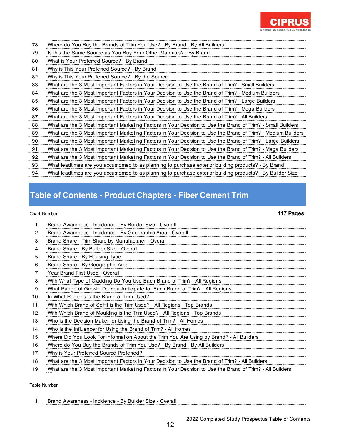

| 78. | Where do You Buy the Brands of Trim You Use? - By Brand - By All Builders                                    |
|-----|--------------------------------------------------------------------------------------------------------------|
| 79. | Is this the Same Source as You Buy Your Other Materials? - By Brand                                          |
| 80. | What is Your Preferred Source? - By Brand                                                                    |
| 81. | Why is This Your Preferred Source? - By Brand                                                                |
| 82. | Why is This Your Preferred Source? - By the Source                                                           |
| 83. | What are the 3 Most Important Factors in Your Decision to Use the Brand of Trim? - Small Builders            |
| 84. | What are the 3 Most Important Factors in Your Decision to Use the Brand of Trim? - Medium Builders           |
| 85. | What are the 3 Most Important Factors in Your Decision to Use the Brand of Trim? - Large Builders            |
| 86. | What are the 3 Most Important Factors in Your Decision to Use the Brand of Trim? - Mega Builders             |
| 87. | What are the 3 Most Important Factors in Your Decision to Use the Brand of Trim? - All Builders              |
| 88. | What are the 3 Most Important Marketing Factors in Your Decision to Use the Brand of Trim? - Small Builders  |
| 89. | What are the 3 Most Important Marketing Factors in Your Decision to Use the Brand of Trim? - Medium Builders |
| 90. | What are the 3 Most Important Marketing Factors in Your Decision to Use the Brand of Trim? - Large Builders  |
| 91. | What are the 3 Most Important Marketing Factors in Your Decision to Use the Brand of Trim? - Mega Builders   |
| 92. | What are the 3 Most Important Marketing Factors in Your Decision to Use the Brand of Trim? - All Builders    |
| 93. | What leadtimes are you accustomed to as planning to purchase exterior building products? - By Brand          |
| 94. | What leadtimes are you accustomed to as planning to purchase exterior building products? - By Builder Size   |

# **Table of Contents - Product Chapters - Fiber Cement Trim**

### Chart Number **117 Pages**

|     | Brand Awareness - Incidence - By Builder Size - Overall                                                   |
|-----|-----------------------------------------------------------------------------------------------------------|
| 2.  | Brand Awareness - Incidence - By Geographic Area - Overall                                                |
| 3.  | Brand Share - Trim Share by Manufacturer - Overall                                                        |
| 4.  | Brand Share - By Builder Size - Overall                                                                   |
| 5.  | Brand Share - By Housing Type                                                                             |
| 6.  | Brand Share - By Geographic Area                                                                          |
| 7.  | Year Brand First Used - Overall                                                                           |
| 8.  | With What Type of Cladding Do You Use Each Brand of Trim? - All Regions                                   |
| 9.  | What Range of Growth Do You Anticipate for Each Brand of Trim? - All Regions                              |
| 10. | In What Regions is the Brand of Trim Used?                                                                |
| 11. | With Which Brand of Soffit is the Trim Used? - All Regions - Top Brands                                   |
| 12. | With Which Brand of Moulding is the Trim Used? - All Regions - Top Brands                                 |
| 13. | Who is the Decision Maker for Using the Brand of Trim? - All Homes                                        |
| 14. | Who is the Influencer for Using the Brand of Trim? - All Homes                                            |
| 15. | Where Did You Look For Information About the Trim You Are Using by Brand? - All Builders                  |
| 16. | Where do You Buy the Brands of Trim You Use? - By Brand - By All Builders                                 |
| 17. | Why is Your Preferred Source Preferred?                                                                   |
| 18. | What are the 3 Most Important Factors in Your Decision to Use the Brand of Trim? - All Builders           |
| 19. | What are the 3 Most Important Marketing Factors in Your Decision to Use the Brand of Trim? - All Builders |
|     |                                                                                                           |

Table Number

1. Brand Awareness - Incidence - By Builder Size - Overall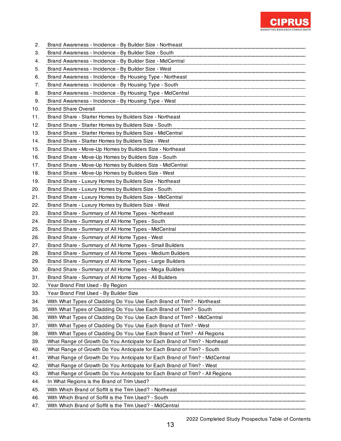

| 2.  | Brand Awareness - Incidence - By Builder Size - Northeast                                                                                                               |
|-----|-------------------------------------------------------------------------------------------------------------------------------------------------------------------------|
| З.  | Brand Awareness - Incidence - By Builder Size - South                                                                                                                   |
| 4.  | Brand Awareness - Incidence - By Builder Size - MidCentral                                                                                                              |
| 5.  | Brand Awareness - Incidence - By Builder Size - West                                                                                                                    |
| 6.  | Brand Awareness - Incidence - By Housing Type - Northeast                                                                                                               |
| 7.  | Brand Awareness - Incidence - By Housing Type - South                                                                                                                   |
| 8.  | Brand Awareness - Incidence - By Housing Type - MidCentral                                                                                                              |
| 9.  | Brand Awareness - Incidence - By Housing Type - West                                                                                                                    |
| 10. | <b>Brand Share Overall</b>                                                                                                                                              |
| 11. | Brand Share - Starter Homes by Builders Size - Northeast                                                                                                                |
| 12. | Brand Share - Starter Homes by Builders Size - South                                                                                                                    |
| 13. | Brand Share - Starter Homes by Builders Size - MidCentral                                                                                                               |
| 14. | Brand Share - Starter Homes by Builders Size - West                                                                                                                     |
| 15. | Brand Share - Move-Up Homes by Builders Size - Northeast                                                                                                                |
| 16. | Brand Share - Move-Up Homes by Builders Size - South                                                                                                                    |
| 17. | Brand Share - Move-Up Homes by Builders Size - MidCentral                                                                                                               |
| 18. | Brand Share - Move-Up Homes by Builders Size - West                                                                                                                     |
| 19. | Brand Share - Luxury Homes by Builders Size - Northeast                                                                                                                 |
| 20. | Brand Share - Luxury Homes by Builders Size - South                                                                                                                     |
| 21. | Brand Share - Luxury Homes by Builders Size - MidCentral                                                                                                                |
| 22. | Brand Share - Luxury Homes by Builders Size - West                                                                                                                      |
| 23. | Brand Share - Summary of All Home Types - Northeast                                                                                                                     |
| 24. | Brand Share - Summary of All Home Types - South                                                                                                                         |
| 25. | Brand Share - Summary of All Home Types - MidCentral                                                                                                                    |
| 26. | Brand Share - Summary of All Home Types - West                                                                                                                          |
| 27. | Brand Share - Summary of All Home Types - Small Builders                                                                                                                |
| 28. | Brand Share - Summary of All Home Types - Medium Builders                                                                                                               |
| 29. | Brand Share - Summary of All Home Types - Large Builders                                                                                                                |
| 30. | Brand Share - Summary of All Home Types - Mega Builders                                                                                                                 |
| 31. | Brand Share - Summary of All Home Types - All Builders                                                                                                                  |
| 32. | Year Brand First Used - By Region                                                                                                                                       |
| 33. | Year Brand First Used - By Builder Size                                                                                                                                 |
| 34. | With What Types of Cladding Do You Use Each Brand of Trim? - Northeast                                                                                                  |
| 35. |                                                                                                                                                                         |
| 36. | With What Types of Cladding Do You Use Each Brand of Trim? - MidCentral Minimum Communications of Cladding Do You Use Each Brand of Trim? - MidCentral                  |
| 37. |                                                                                                                                                                         |
| 38. | With What Types of Cladding Do You Use Each Brand of Trim? - All Regions Communications and the communications of Cladding Do You Use Each Brand of Trim? - All Regions |
| 39. | What Range of Growth Do You Anticipate for Each Brand of Trim? - Northeast Matthews Change of Growth Do You Anticipate for Each Brand of Trim? - Northeast              |
| 40. | What Range of Growth Do You Anticipate for Each Brand of Trim? - South<br>!<br>………………………………………………………………………………………                                                        |
| 41. |                                                                                                                                                                         |
| 42. | What Range of Growth Do You Anticipate for Each Brand of Trim? - West [1983] what Range of Growth Do You Anticipate for Each Brand of Trim? - West                      |
| 43. |                                                                                                                                                                         |
| 44. | In What Regions is the Brand of Trim Used?                                                                                                                              |
| 45. |                                                                                                                                                                         |
| 46. | With Which Brand of Soffit is the Trim Used? - South                                                                                                                    |
| 47. | With Which Brand of Soffit is the Trim Used? - MidCentral                                                                                                               |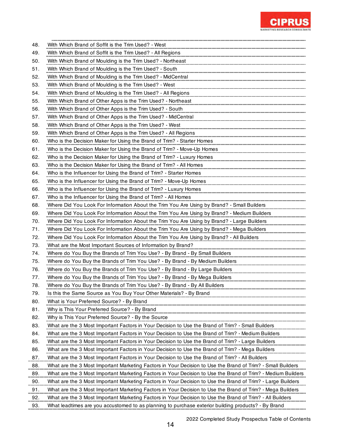

| 48.      | With Which Brand of Soffit is the Trim Used? - West                                                          |
|----------|--------------------------------------------------------------------------------------------------------------|
| 49.      | With Which Brand of Soffit is the Trim Used? - All Regions                                                   |
| 50.      | With Which Brand of Moulding is the Trim Used? - Northeast                                                   |
| 51.      | With Which Brand of Moulding is the Trim Used? - South                                                       |
| 52.      | With Which Brand of Moulding is the Trim Used? - MidCentral                                                  |
| 53.      | With Which Brand of Moulding is the Trim Used? - West                                                        |
| 54.      | With Which Brand of Moulding is the Trim Used? - All Regions                                                 |
| 55.      | With Which Brand of Other Apps is the Trim Used? - Northeast                                                 |
| 56.      | With Which Brand of Other Apps is the Trim Used? - South                                                     |
| 57.      | With Which Brand of Other Apps is the Trim Used? - MidCentral                                                |
| 58.      | With Which Brand of Other Apps is the Trim Used? - West                                                      |
| 59.      | With Which Brand of Other Apps is the Trim Used? - All Regions                                               |
| 60.      | Who is the Decision Maker for Using the Brand of Trim? - Starter Homes                                       |
| 61.      | Who is the Decision Maker for Using the Brand of Trim? - Move-Up Homes                                       |
| 62.      | Who is the Decision Maker for Using the Brand of Trim? - Luxury Homes                                        |
| 63.      | Who is the Decision Maker for Using the Brand of Trim? - All Homes                                           |
| 64.      | Who is the Influencer for Using the Brand of Trim? - Starter Homes                                           |
| 65.      | Who is the Influencer for Using the Brand of Trim? - Move-Up Homes                                           |
| 66.      | Who is the Influencer for Using the Brand of Trim? - Luxury Homes                                            |
| 67.      | Who is the Influencer for Using the Brand of Trim? - All Homes                                               |
| 68.      | Where Did You Look For Information About the Trim You Are Using by Brand? - Small Builders                   |
| 69.      | Where Did You Look For Information About the Trim You Are Using by Brand? - Medium Builders                  |
| 70.      | Where Did You Look For Information About the Trim You Are Using by Brand? - Large Builders                   |
| 71.      | Where Did You Look For Information About the Trim You Are Using by Brand? - Mega Builders                    |
| 72.      | Where Did You Look For Information About the Trim You Are Using by Brand? - All Builders                     |
| 73.      | What are the Most Important Sources of Information by Brand?                                                 |
| 74.      | Where do You Buy the Brands of Trim You Use? - By Brand - By Small Builders                                  |
| 75.      | Where do You Buy the Brands of Trim You Use? - By Brand - By Medium Builders                                 |
| 76.      | Where do You Buy the Brands of Trim You Use? - By Brand - By Large Builders                                  |
| 77.      | Where do You Buy the Brands of Trim You Use? - By Brand - By Mega Builders                                   |
| 78.      | Where do You Buy the Brands of Trim You Use? - By Brand - By All Builders                                    |
| 79.      | Is this the Same Source as You Buy Your Other Materials? - By Brand                                          |
| 80.      | What is Your Preferred Source? - By Brand                                                                    |
| 81.      | Why is This Your Preferred Source? - By Brand                                                                |
| 82.      | Why is This Your Preferred Source? - By the Source                                                           |
| 83.      | What are the 3 Most Important Factors in Your Decision to Use the Brand of Trim? - Small Builders            |
| 84.      | What are the 3 Most Important Factors in Your Decision to Use the Brand of Trim? - Medium Builders           |
| 85.      | What are the 3 Most Important Factors in Your Decision to Use the Brand of Trim? - Large Builders            |
| 86.      | What are the 3 Most Important Factors in Your Decision to Use the Brand of Trim? - Mega Builders             |
| 87.      | What are the 3 Most Important Factors in Your Decision to Use the Brand of Trim? - All Builders              |
| 88.<br>. | What are the 3 Most Important Marketing Factors in Your Decision to Use the Brand of Trim? - Small Builders  |
| 89.      | What are the 3 Most Important Marketing Factors in Your Decision to Use the Brand of Trim? - Medium Builders |
| 90.      | What are the 3 Most Important Marketing Factors in Your Decision to Use the Brand of Trim? - Large Builders  |
| 91.      | What are the 3 Most Important Marketing Factors in Your Decision to Use the Brand of Trim? - Mega Builders   |
| 92.      | What are the 3 Most Important Marketing Factors in Your Decision to Use the Brand of Trim? - All Builders    |
| 93.<br>. | What leadtimes are you accustomed to as planning to purchase exterior building products? - By Brand          |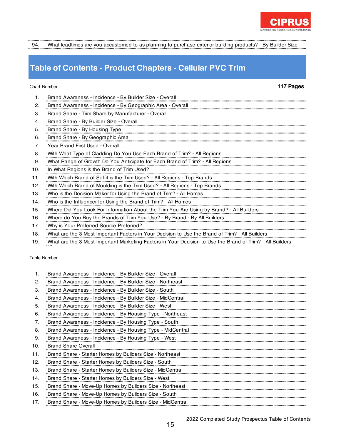

94. What leadtimes are you accustomed to as planning to purchase exterior building products? - By Builder Size

## **Table of Contents - Product Chapters - Cellular PVC Trim**

### Chart Number **117 Pages**

| 1.  | Brand Awareness - Incidence - By Builder Size - Overall                                                   |
|-----|-----------------------------------------------------------------------------------------------------------|
|     |                                                                                                           |
| 2.  | Brand Awareness - Incidence - By Geographic Area - Overall                                                |
| З.  | Brand Share - Trim Share by Manufacturer - Overall                                                        |
| 4.  | Brand Share - By Builder Size - Overall                                                                   |
| 5.  | Brand Share - By Housing Type                                                                             |
| 6.  | Brand Share - By Geographic Area                                                                          |
| 7.  | Year Brand First Used - Overall                                                                           |
| 8.  | With What Type of Cladding Do You Use Each Brand of Trim? - All Regions                                   |
| 9.  | What Range of Growth Do You Anticipate for Each Brand of Trim? - All Regions                              |
| 10. | In What Regions is the Brand of Trim Used?                                                                |
| 11. | With Which Brand of Soffit is the Trim Used? - All Regions - Top Brands                                   |
| 12. | With Which Brand of Moulding is the Trim Used? - All Regions - Top Brands                                 |
| 13. | Who is the Decision Maker for Using the Brand of Trim? - All Homes                                        |
| 14. | Who is the Influencer for Using the Brand of Trim? - All Homes                                            |
| 15. | Where Did You Look For Information About the Trim You Are Using by Brand? - All Builders                  |
| 16. | Where do You Buy the Brands of Trim You Use? - By Brand - By All Builders                                 |
| 17. | Why is Your Preferred Source Preferred?                                                                   |
| 18. | What are the 3 Most Important Factors in Your Decision to Use the Brand of Trim? - All Builders           |
| 19. | What are the 3 Most Important Marketing Factors in Your Decision to Use the Brand of Trim? - All Builders |

|     | Brand Awareness - Incidence - By Builder Size - Overall    |
|-----|------------------------------------------------------------|
| 2.  | Brand Awareness - Incidence - By Builder Size - Northeast  |
| 3.  | Brand Awareness - Incidence - By Builder Size - South      |
| 4.  | Brand Awareness - Incidence - By Builder Size - MidCentral |
| 5.  | Brand Awareness - Incidence - By Builder Size - West       |
| 6.  | Brand Awareness - Incidence - By Housing Type - Northeast  |
| 7.  | Brand Awareness - Incidence - By Housing Type - South      |
| 8.  | Brand Awareness - Incidence - By Housing Type - MidCentral |
| 9.  | Brand Awareness - Incidence - By Housing Type - West       |
| 10. | <b>Brand Share Overall</b>                                 |
| 11. | Brand Share - Starter Homes by Builders Size - Northeast   |
| 12. | Brand Share - Starter Homes by Builders Size - South       |
| 13. | Brand Share - Starter Homes by Builders Size - MidCentral  |
| 14. | Brand Share - Starter Homes by Builders Size - West        |
| 15. | Brand Share - Move-Up Homes by Builders Size - Northeast   |
| 16. | Brand Share - Move-Up Homes by Builders Size - South       |
| 17. | Brand Share - Move-Up Homes by Builders Size - MidCentral  |
|     |                                                            |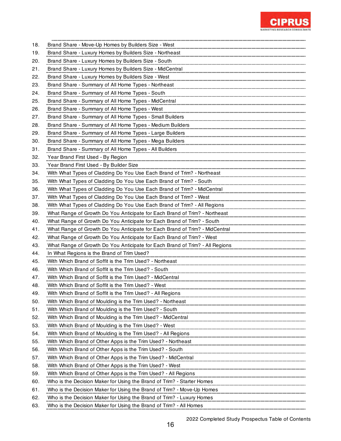

| 18. | Brand Share - Move-Up Homes by Builders Size - West                                                                                                                                                                                      |
|-----|------------------------------------------------------------------------------------------------------------------------------------------------------------------------------------------------------------------------------------------|
| 19. | Brand Share - Luxury Homes by Builders Size - Northeast                                                                                                                                                                                  |
| 20. | Brand Share - Luxury Homes by Builders Size - South                                                                                                                                                                                      |
| 21. | Brand Share - Luxury Homes by Builders Size - MidCentral                                                                                                                                                                                 |
| 22. | Brand Share - Luxury Homes by Builders Size - West                                                                                                                                                                                       |
| 23. | Brand Share - Summary of All Home Types - Northeast                                                                                                                                                                                      |
| 24. | Brand Share - Summary of All Home Types - South                                                                                                                                                                                          |
| 25. | Brand Share - Summary of All Home Types - MidCentral                                                                                                                                                                                     |
| 26. | Brand Share - Summary of All Home Types - West                                                                                                                                                                                           |
| 27. | Brand Share - Summary of All Home Types - Small Builders                                                                                                                                                                                 |
| 28. | Brand Share - Summary of All Home Types - Medium Builders                                                                                                                                                                                |
| 29. | Brand Share - Summary of All Home Types - Large Builders                                                                                                                                                                                 |
| 30. | Brand Share - Summary of All Home Types - Mega Builders                                                                                                                                                                                  |
| 31. | Brand Share - Summary of All Home Types - All Builders                                                                                                                                                                                   |
| 32. | Year Brand First Used - By Region                                                                                                                                                                                                        |
| 33. | Year Brand First Used - By Builder Size                                                                                                                                                                                                  |
| 34. | With What Types of Cladding Do You Use Each Brand of Trim? - Northeast                                                                                                                                                                   |
| 35. | With What Types of Cladding Do You Use Each Brand of Trim? - South                                                                                                                                                                       |
| 36. | With What Types of Cladding Do You Use Each Brand of Trim? - MidCentral                                                                                                                                                                  |
| 37. | With What Types of Cladding Do You Use Each Brand of Trim? - West                                                                                                                                                                        |
| 38. | With What Types of Cladding Do You Use Each Brand of Trim? - All Regions                                                                                                                                                                 |
| 39. | What Range of Growth Do You Anticipate for Each Brand of Trim? - Northeast                                                                                                                                                               |
| 40. | What Range of Growth Do You Anticipate for Each Brand of Trim? - South                                                                                                                                                                   |
| 41. | What Range of Growth Do You Anticipate for Each Brand of Trim? - MidCentral                                                                                                                                                              |
| 42. | What Range of Growth Do You Anticipate for Each Brand of Trim? - West                                                                                                                                                                    |
| 43. | What Range of Growth Do You Anticipate for Each Brand of Trim? - All Regions                                                                                                                                                             |
| 44. | In What Regions is the Brand of Trim Used?                                                                                                                                                                                               |
| 45. |                                                                                                                                                                                                                                          |
|     | With Which Brand of Soffit is the Trim Used? - Northeast                                                                                                                                                                                 |
| 46. | With Which Brand of Soffit is the Trim Used? - South                                                                                                                                                                                     |
| 47. | With Which Brand of Soffit is the Trim Used? - MidCentral                                                                                                                                                                                |
| 48. | With Which Brand of Soffit is the Trim Used? - West                                                                                                                                                                                      |
| 49. | With Which Brand of Soffit is the Trim Used? - All Regions                                                                                                                                                                               |
| 50. | With Which Brand of Moulding is the Trim Used? - Northeast                                                                                                                                                                               |
| 51. | With Which Brand of Moulding is the Trim Used? - South                                                                                                                                                                                   |
| 52. |                                                                                                                                                                                                                                          |
| 53. | With Which Brand of Moulding is the Trim Used? - MidCentral has also an announcement of Moulding is the Trim Used? - MidCentral<br>With Which Brand of Moulding is the Trim Used? - West                                                 |
| 54. |                                                                                                                                                                                                                                          |
| 55. | With Which Brand of Moulding is the Trim Used? - All Regions [1984] And The Management of Moulding is the Trim Used? - All Regions [1984] All Annances [1984] All Annances [1984] All Annances [1984] All Annances [1984] All            |
| 56. | With Which Brand of Other Apps is the Trim Used? - Northeast Microsoft With Which Brand of Other Apps is the Trim Used? - Northeast<br>With Which Brand of Other Apps is the Trim Used? - South                                          |
| 57. |                                                                                                                                                                                                                                          |
| 58. | With Which Brand of Other Apps is the Trim Used? - MidCentral https://www.marray.com/induction-<br>With Which Brand of Other Apps is the Trim Used? - West                                                                               |
| 59. |                                                                                                                                                                                                                                          |
| 60. | With Which Brand of Other Apps is the Trim Used? - All Regions <b>Statement Construction</b> Controller and an annual construction of the Trim Used? - All Regions <b>Constitution and the Construction</b> Construction Construction Co |
| 61. | Who is the Decision Maker for Using the Brand of Trim? - Move-Up Homes                                                                                                                                                                   |
| 62. | Who is the Decision Maker for Using the Brand of Trim? - Luxury Homes                                                                                                                                                                    |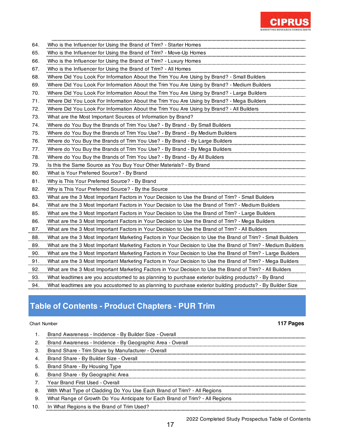

| 64. | Who is the Influencer for Using the Brand of Trim? - Starter Homes                                           |
|-----|--------------------------------------------------------------------------------------------------------------|
| 65. | Who is the Influencer for Using the Brand of Trim? - Move-Up Homes                                           |
| 66. | Who is the Influencer for Using the Brand of Trim? - Luxury Homes                                            |
| 67. | Who is the Influencer for Using the Brand of Trim? - All Homes                                               |
| 68. | Where Did You Look For Information About the Trim You Are Using by Brand? - Small Builders                   |
| 69. | Where Did You Look For Information About the Trim You Are Using by Brand? - Medium Builders                  |
| 70. | Where Did You Look For Information About the Trim You Are Using by Brand? - Large Builders                   |
| 71. | Where Did You Look For Information About the Trim You Are Using by Brand? - Mega Builders                    |
| 72. | Where Did You Look For Information About the Trim You Are Using by Brand? - All Builders                     |
| 73. | What are the Most Important Sources of Information by Brand?                                                 |
| 74. | Where do You Buy the Brands of Trim You Use? - By Brand - By Small Builders                                  |
| 75. | Where do You Buy the Brands of Trim You Use? - By Brand - By Medium Builders                                 |
| 76. | Where do You Buy the Brands of Trim You Use? - By Brand - By Large Builders                                  |
| 77. | Where do You Buy the Brands of Trim You Use? - By Brand - By Mega Builders                                   |
| 78. | Where do You Buy the Brands of Trim You Use? - By Brand - By All Builders                                    |
| 79. | Is this the Same Source as You Buy Your Other Materials? - By Brand                                          |
| 80. | What is Your Preferred Source? - By Brand                                                                    |
| 81. | Why is This Your Preferred Source? - By Brand                                                                |
| 82. | Why is This Your Preferred Source? - By the Source                                                           |
| 83. | What are the 3 Most Important Factors in Your Decision to Use the Brand of Trim? - Small Builders            |
| 84. | What are the 3 Most Important Factors in Your Decision to Use the Brand of Trim? - Medium Builders           |
| 85. | What are the 3 Most Important Factors in Your Decision to Use the Brand of Trim? - Large Builders            |
| 86. | What are the 3 Most Important Factors in Your Decision to Use the Brand of Trim? - Mega Builders             |
| 87. | What are the 3 Most Important Factors in Your Decision to Use the Brand of Trim? - All Builders              |
| 88. | What are the 3 Most Important Marketing Factors in Your Decision to Use the Brand of Trim? - Small Builders  |
| 89. | What are the 3 Most Important Marketing Factors in Your Decision to Use the Brand of Trim? - Medium Builders |
| 90. | What are the 3 Most Important Marketing Factors in Your Decision to Use the Brand of Trim? - Large Builders  |
| 91. | What are the 3 Most Important Marketing Factors in Your Decision to Use the Brand of Trim? - Mega Builders   |
| 92. | What are the 3 Most Important Marketing Factors in Your Decision to Use the Brand of Trim? - All Builders    |
| 93. | What leadtimes are you accustomed to as planning to purchase exterior building products? - By Brand          |
| 94. | What leadtimes are you accustomed to as planning to purchase exterior building products? - By Builder Size   |

# **Table of Contents - Product Chapters - PUR Trim**

 $\ddot{\phantom{a}}$ à.

à.

### Chart Number **117 Pages**

|     | Brand Awareness - Incidence - By Builder Size - Overall                      |
|-----|------------------------------------------------------------------------------|
| 2.  | Brand Awareness - Incidence - By Geographic Area - Overall                   |
| 3.  | Brand Share - Trim Share by Manufacturer - Overall                           |
| 4.  | Brand Share - By Builder Size - Overall                                      |
| 5.  | Brand Share - By Housing Type                                                |
| 6.  | Brand Share - By Geographic Area                                             |
|     | Year Brand First Used - Overall                                              |
| 8.  | With What Type of Cladding Do You Use Each Brand of Trim? - All Regions      |
| 9.  | What Range of Growth Do You Anticipate for Each Brand of Trim? - All Regions |
| 10. | In What Regions is the Brand of Trim Used?                                   |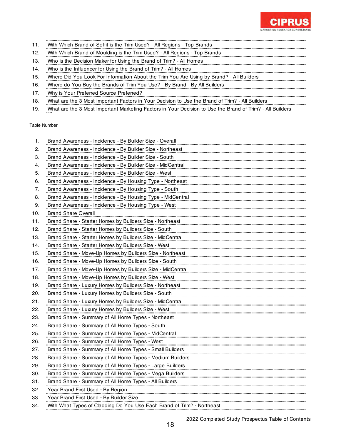

- 11. With Which Brand of Soffit is the Trim Used? All Regions Top Brands
- 12. With Which Brand of Moulding is the Trim Used? All Regions Top Brands
- 13. Who is the Decision Maker for Using the Brand of Trim? All Homes
- 14. Who is the Influencer for Using the Brand of Trim? All Homes
- 15. Where Did You Look For Information About the Trim You Are Using by Brand? All Builders
- 16. Where do You Buy the Brands of Trim You Use? By Brand By All Builders Manuscription and the Brands of
- 17. Why is Your Preferred Source Preferred?
- 18. What are the 3 Most Important Factors in Your Decision to Use the Brand of Trim? All Builders
- 19. What are the 3 Most Important Marketing Factors in Your Decision to Use the Brand of Trim? All Builders

| 1.  | Brand Awareness - Incidence - By Builder Size - Overall                |
|-----|------------------------------------------------------------------------|
| 2.  | Brand Awareness - Incidence - By Builder Size - Northeast              |
| З.  | Brand Awareness - Incidence - By Builder Size - South                  |
| 4.  | Brand Awareness - Incidence - By Builder Size - MidCentral             |
| 5.  | Brand Awareness - Incidence - By Builder Size - West                   |
| 6.  | Brand Awareness - Incidence - By Housing Type - Northeast              |
| 7.  | Brand Awareness - Incidence - By Housing Type - South                  |
| 8.  | Brand Awareness - Incidence - By Housing Type - MidCentral             |
| 9.  | Brand Awareness - Incidence - By Housing Type - West                   |
| 10. | Brand Share Overall                                                    |
| 11. | Brand Share - Starter Homes by Builders Size - Northeast               |
| 12. | Brand Share - Starter Homes by Builders Size - South                   |
| 13. | Brand Share - Starter Homes by Builders Size - MidCentral              |
| 14. | Brand Share - Starter Homes by Builders Size - West                    |
| 15. | Brand Share - Move-Up Homes by Builders Size - Northeast               |
| 16. | Brand Share - Move-Up Homes by Builders Size - South                   |
| 17. | Brand Share - Move-Up Homes by Builders Size - MidCentral              |
| 18. | Brand Share - Move-Up Homes by Builders Size - West                    |
| 19. | Brand Share - Luxury Homes by Builders Size - Northeast                |
| 20. | Brand Share - Luxury Homes by Builders Size - South                    |
| 21. | Brand Share - Luxury Homes by Builders Size - MidCentral               |
| 22. | Brand Share - Luxury Homes by Builders Size - West                     |
| 23. | Brand Share - Summary of All Home Types - Northeast                    |
| 24. | Brand Share - Summary of All Home Types - South                        |
| 25. | Brand Share - Summary of All Home Types - MidCentral                   |
| 26. | Brand Share - Summary of All Home Types - West                         |
| 27. | Brand Share - Summary of All Home Types - Small Builders               |
| 28. | Brand Share - Summary of All Home Types - Medium Builders              |
| 29. | Brand Share - Summary of All Home Types - Large Builders               |
| 30. | Brand Share - Summary of All Home Types - Mega Builders                |
| 31. | Brand Share - Summary of All Home Types - All Builders                 |
| 32. | Year Brand First Used - By Region                                      |
| 33. | Year Brand First Used - By Builder Size                                |
| 34. | With What Types of Cladding Do You Use Each Brand of Trim? - Northeast |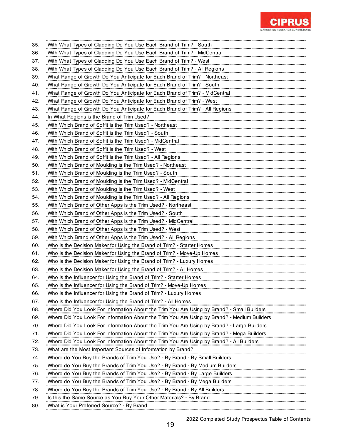

| 35. | With What Types of Cladding Do You Use Each Brand of Trim? - South                          |
|-----|---------------------------------------------------------------------------------------------|
| 36. | With What Types of Cladding Do You Use Each Brand of Trim? - MidCentral                     |
| 37. | With What Types of Cladding Do You Use Each Brand of Trim? - West                           |
| 38. | With What Types of Cladding Do You Use Each Brand of Trim? - All Regions                    |
| 39. | What Range of Growth Do You Anticipate for Each Brand of Trim? - Northeast                  |
| 40. | What Range of Growth Do You Anticipate for Each Brand of Trim? - South                      |
| 41. | What Range of Growth Do You Anticipate for Each Brand of Trim? - MidCentral                 |
| 42. | What Range of Growth Do You Anticipate for Each Brand of Trim? - West                       |
| 43. | What Range of Growth Do You Anticipate for Each Brand of Trim? - All Regions                |
| 44. | In What Regions is the Brand of Trim Used?                                                  |
| 45. | With Which Brand of Soffit is the Trim Used? - Northeast                                    |
| 46. | With Which Brand of Soffit is the Trim Used? - South                                        |
| 47. | With Which Brand of Soffit is the Trim Used? - MidCentral                                   |
| 48. | With Which Brand of Soffit is the Trim Used? - West                                         |
| 49. | With Which Brand of Soffit is the Trim Used? - All Regions                                  |
| 50. | With Which Brand of Moulding is the Trim Used? - Northeast                                  |
| 51. | With Which Brand of Moulding is the Trim Used? - South                                      |
| 52. | With Which Brand of Moulding is the Trim Used? - MidCentral                                 |
| 53. |                                                                                             |
|     | With Which Brand of Moulding is the Trim Used? - West                                       |
| 54. | With Which Brand of Moulding is the Trim Used? - All Regions                                |
| 55. | With Which Brand of Other Apps is the Trim Used? - Northeast                                |
| 56. | With Which Brand of Other Apps is the Trim Used? - South                                    |
| 57. | With Which Brand of Other Apps is the Trim Used? - MidCentral                               |
| 58. | With Which Brand of Other Apps is the Trim Used? - West                                     |
| 59. | With Which Brand of Other Apps is the Trim Used? - All Regions                              |
| 60. | Who is the Decision Maker for Using the Brand of Trim? - Starter Homes                      |
| 61. | Who is the Decision Maker for Using the Brand of Trim? - Move-Up Homes                      |
| 62. | Who is the Decision Maker for Using the Brand of Trim? - Luxury Homes                       |
| 63. | Who is the Decision Maker for Using the Brand of Trim? - All Homes                          |
| 64. | Who is the Influencer for Using the Brand of Trim? - Starter Homes                          |
| 65. | Who is the Influencer for Using the Brand of Trim? - Move-Up Homes                          |
| 66. | Who is the Influencer for Using the Brand of Trim? - Luxury Homes                           |
| 67. | Who is the Influencer for Using the Brand of Trim? - All Homes                              |
| 68. | Where Did You Look For Information About the Trim You Are Using by Brand? - Small Builders  |
| 69. | Where Did You Look For Information About the Trim You Are Using by Brand? - Medium Builders |
| 70. | Where Did You Look For Information About the Trim You Are Using by Brand? - Large Builders  |
| 71. | Where Did You Look For Information About the Trim You Are Using by Brand? - Mega Builders   |
| 72. | Where Did You Look For Information About the Trim You Are Using by Brand? - All Builders    |
| 73. | What are the Most Important Sources of Information by Brand?                                |
| 74. | Where do You Buy the Brands of Trim You Use? - By Brand - By Small Builders                 |
| 75. | Where do You Buy the Brands of Trim You Use? - By Brand - By Medium Builders                |
| 76. | Where do You Buy the Brands of Trim You Use? - By Brand - By Large Builders                 |
| 77. | Where do You Buy the Brands of Trim You Use? - By Brand - By Mega Builders                  |
| 78. | Where do You Buy the Brands of Trim You Use? - By Brand - By All Builders                   |
| 79. | Is this the Same Source as You Buy Your Other Materials? - By Brand                         |
| 80. | What is Your Preferred Source? - By Brand                                                   |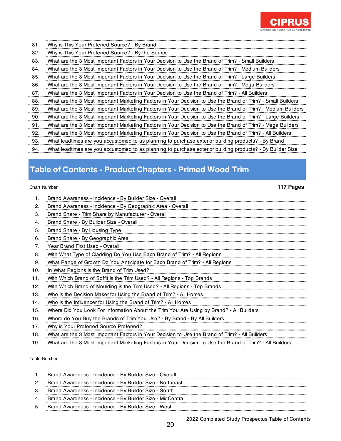

| 81. | Why is This Your Preferred Source? - By Brand                                                                |
|-----|--------------------------------------------------------------------------------------------------------------|
| 82. | Why is This Your Preferred Source? - By the Source                                                           |
| 83. | What are the 3 Most Important Factors in Your Decision to Use the Brand of Trim? - Small Builders            |
| 84. | What are the 3 Most Important Factors in Your Decision to Use the Brand of Trim? - Medium Builders           |
| 85. | What are the 3 Most Important Factors in Your Decision to Use the Brand of Trim? - Large Builders            |
| 86. | What are the 3 Most Important Factors in Your Decision to Use the Brand of Trim? - Mega Builders             |
| 87. | What are the 3 Most Important Factors in Your Decision to Use the Brand of Trim? - All Builders              |
| 88. | What are the 3 Most Important Marketing Factors in Your Decision to Use the Brand of Trim? - Small Builders  |
| 89. | What are the 3 Most Important Marketing Factors in Your Decision to Use the Brand of Trim? - Medium Builders |
| 90. | What are the 3 Most Important Marketing Factors in Your Decision to Use the Brand of Trim? - Large Builders  |
| 91. | What are the 3 Most Important Marketing Factors in Your Decision to Use the Brand of Trim? - Mega Builders   |
| 92. | What are the 3 Most Important Marketing Factors in Your Decision to Use the Brand of Trim? - All Builders    |
| 93. | What leadtimes are you accustomed to as planning to purchase exterior building products? - By Brand          |
| 94. | What leadtimes are you accustomed to as planning to purchase exterior building products? - By Builder Size   |

## **Table of Contents - Product Chapters - Primed Wood Trim**

### Chart Number **117 Pages**

|     | Brand Awareness - Incidence - By Builder Size - Overall                                         |
|-----|-------------------------------------------------------------------------------------------------|
| 2.  | Brand Awareness - Incidence - By Geographic Area - Overall                                      |
| 3.  | Brand Share - Trim Share by Manufacturer - Overall                                              |
| 4.  | Brand Share - By Builder Size - Overall                                                         |
| 5.  | Brand Share - By Housing Type                                                                   |
| 6.  | Brand Share - By Geographic Area                                                                |
| 7.  | Year Brand First Used - Overall                                                                 |
| 8.  | With What Type of Cladding Do You Use Each Brand of Trim? - All Regions                         |
| 9.  | What Range of Growth Do You Anticipate for Each Brand of Trim? - All Regions                    |
| 10. | In What Regions is the Brand of Trim Used?                                                      |
| 11. | With Which Brand of Soffit is the Trim Used? - All Regions - Top Brands                         |
| 12. | With Which Brand of Moulding is the Trim Used? - All Regions - Top Brands                       |
| 13. | Who is the Decision Maker for Using the Brand of Trim? - All Homes                              |
| 14. | Who is the Influencer for Using the Brand of Trim? - All Homes                                  |
| 15. | Where Did You Look For Information About the Trim You Are Using by Brand? - All Builders        |
| 16. | Where do You Buy the Brands of Trim You Use? - By Brand - By All Builders                       |
| 17. | Why is Your Preferred Source Preferred?                                                         |
| 18. | What are the 3 Most Important Factors in Your Decision to Use the Brand of Trim? - All Builders |

19. What are the 3 Most Important Marketing Factors in Your Decision to Use the Brand of Trim? - All Builders

### Table Number

|    | Brand Awareness - Incidence - By Builder Size - Overall    |
|----|------------------------------------------------------------|
|    | Brand Awareness - Incidence - By Builder Size - Northeast  |
|    | Brand Awareness - Incidence - By Builder Size - South      |
|    | Brand Awareness - Incidence - By Builder Size - MidCentral |
| 5. | Brand Awareness - Incidence - By Builder Size - West       |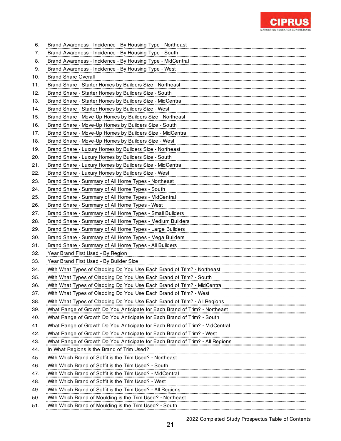

| 6.  | Brand Awareness - Incidence - By Housing Type - Northeast                                                              |
|-----|------------------------------------------------------------------------------------------------------------------------|
| 7.  | Brand Awareness - Incidence - By Housing Type - South                                                                  |
| 8.  | Brand Awareness - Incidence - By Housing Type - MidCentral                                                             |
| 9.  | Brand Awareness - Incidence - By Housing Type - West                                                                   |
| 10. | <b>Brand Share Overall</b>                                                                                             |
| 11. | Brand Share - Starter Homes by Builders Size - Northeast                                                               |
| 12. | Brand Share - Starter Homes by Builders Size - South                                                                   |
| 13. | Brand Share - Starter Homes by Builders Size - MidCentral                                                              |
| 14. | Brand Share - Starter Homes by Builders Size - West                                                                    |
| 15. | Brand Share - Move-Up Homes by Builders Size - Northeast                                                               |
| 16. | Brand Share - Move-Up Homes by Builders Size - South                                                                   |
| 17. | Brand Share - Move-Up Homes by Builders Size - MidCentral                                                              |
| 18. | Brand Share - Move-Up Homes by Builders Size - West                                                                    |
| 19. | Brand Share - Luxury Homes by Builders Size - Northeast                                                                |
| 20. | Brand Share - Luxury Homes by Builders Size - South                                                                    |
| 21. | Brand Share - Luxury Homes by Builders Size - MidCentral                                                               |
| 22. | Brand Share - Luxury Homes by Builders Size - West                                                                     |
| 23. | Brand Share - Summary of All Home Types - Northeast                                                                    |
| 24. | Brand Share - Summary of All Home Types - South                                                                        |
| 25. | Brand Share - Summary of All Home Types - MidCentral                                                                   |
| 26. | Brand Share - Summary of All Home Types - West                                                                         |
| 27. | Brand Share - Summary of All Home Types - Small Builders                                                               |
| 28. | Brand Share - Summary of All Home Types - Medium Builders                                                              |
| 29. | Brand Share - Summary of All Home Types - Large Builders                                                               |
| 30. | Brand Share - Summary of All Home Types - Mega Builders                                                                |
| 31. | Brand Share - Summary of All Home Types - All Builders                                                                 |
| 32. | Year Brand First Used - By Region                                                                                      |
| 33. | Year Brand First Used - By Builder Size                                                                                |
| 34. | With What Types of Cladding Do You Use Each Brand of Trim? - Northeast                                                 |
| 35. | With What Types of Cladding Do You Use Each Brand of Trim? - South                                                     |
| 36. | With What Types of Cladding Do You Use Each Brand of Trim? - MidCentral                                                |
| 37. | With What Types of Cladding Do You Use Each Brand of Trim? - West                                                      |
| 38. | With What Types of Cladding Do You Use Each Brand of Trim? - All Regions                                               |
| 39. | What Range of Growth Do You Anticipate for Each Brand of Trim? - Northeast                                             |
| 40. | What Range of Growth Do You Anticipate for Each Brand of Trim? - South                                                 |
| 41. | What Range of Growth Do You Anticipate for Each Brand of Trim? - MidCentral                                            |
| 42. | What Range of Growth Do You Anticipate for Each Brand of Trim? - West                                                  |
| 43. | What Range of Growth Do You Anticipate for Each Brand of Trim? - All Regions                                           |
| 44. | In What Regions is the Brand of Trim Used?                                                                             |
| 45. | With Which Brand of Soffit is the Trim Used? - Northeast                                                               |
| 46. | With Which Brand of Soffit is the Trim Used? - South                                                                   |
| 47. | with Which Brand of Soffit is the Trim Used? - MidCentral<br>With Which Brand of Soffit is the Trim Used? - MidCentral |
| 48. | With Which Brand of Soffit is the Trim Used? - West                                                                    |
| 49. | With Which Brand of Soffit is the Trim Used? - All Regions                                                             |
| 50. | With Which Brand of Moulding is the Trim Used? - Northeast                                                             |
| 51. | With Which Brand of Moulding is the Trim Used? - South                                                                 |